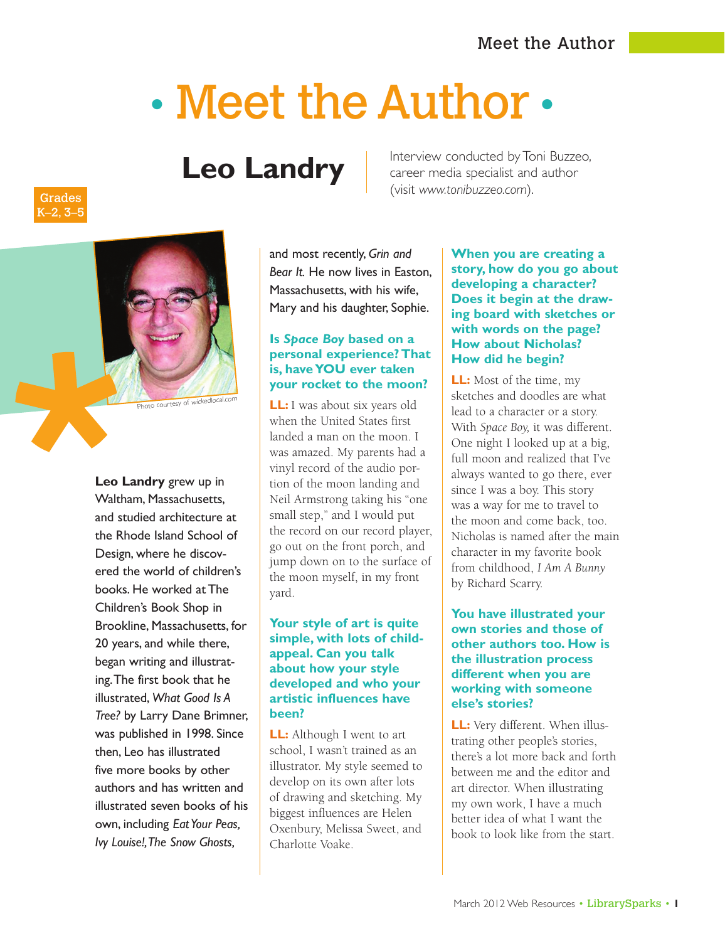# • Meet the Author •

# **Leo Landry**

Interview conducted by Toni Buzzeo, career media specialist and author (visit *www.tonibuzzeo.com*).

and most recently, *Grin and Bear It.* He now lives in Easton, Massachusetts, with his wife, Mary and his daughter, Sophie.

# **Is** *Space Boy* **based on a personal experience? That is, have YOU ever taken your rocket to the moon?**

**LL:** I was about six years old when the United States first landed a man on the moon. I was amazed. My parents had a vinyl record of the audio portion of the moon landing and Neil Armstrong taking his "one small step," and I would put the record on our record player, go out on the front porch, and jump down on to the surface of the moon myself, in my front yard.

### **Your style of art is quite simple, with lots of childappeal. Can you talk about how your style developed and who your artistic influences have been?**

**LL:** Although I went to art school, I wasn't trained as an illustrator. My style seemed to develop on its own after lots of drawing and sketching. My biggest influences are Helen Oxenbury, Melissa Sweet, and Charlotte Voake.

**When you are creating a story, how do you go about developing a character? Does it begin at the drawing board with sketches or with words on the page? How about Nicholas? How did he begin?**

**LL:** Most of the time, my sketches and doodles are what lead to a character or a story. With *Space Boy,* it was different. One night I looked up at a big, full moon and realized that I've always wanted to go there, ever since I was a boy. This story was a way for me to travel to the moon and come back, too. Nicholas is named after the main character in my favorite book from childhood, *I Am A Bunny* by Richard Scarry.

# **You have illustrated your own stories and those of other authors too. How is the illustration process different when you are working with someone else's stories?**

**LL:** Very different. When illustrating other people's stories, there's a lot more back and forth between me and the editor and art director. When illustrating my own work, I have a much better idea of what I want the book to look like from the start.

# Grades K–2, 3–5



**Leo Landry** grew up in Waltham, Massachusetts, and studied architecture at the Rhode Island School of Design, where he discovered the world of children's books. He worked at The Children's Book Shop in Brookline, Massachusetts, for 20 years, and while there, began writing and illustrating. The first book that he illustrated, *What Good Is A Tree?* by Larry Dane Brimner, was published in 1998. Since then, Leo has illustrated five more books by other authors and has written and illustrated seven books of his own, including *Eat Your Peas, Ivy Louise!, The Snow Ghosts,*